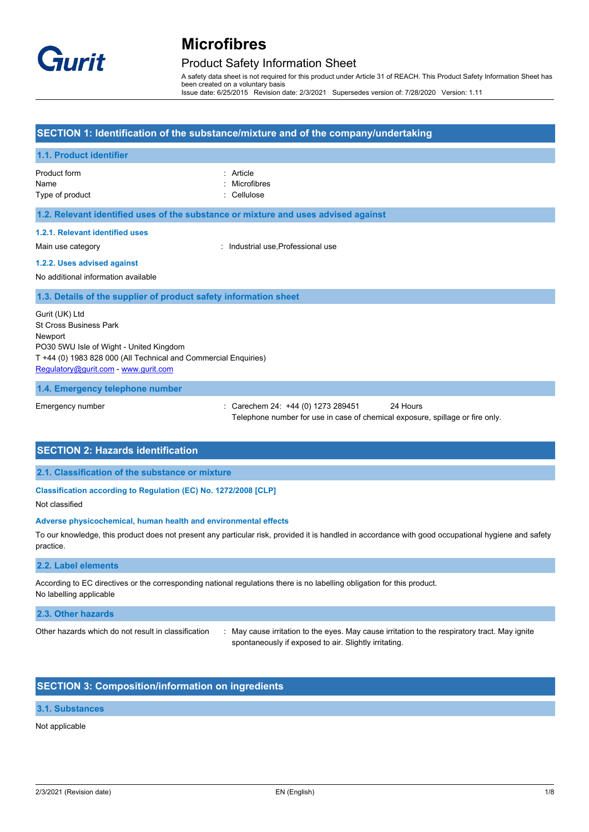

## Product Safety Information Sheet

A safety data sheet is not required for this product under Article 31 of REACH. This Product Safety Information Sheet has been created on a voluntary basis Issue date: 6/25/2015 Revision date: 2/3/2021 Supersedes version of: 7/28/2020 Version: 1.11

### **SECTION 1: Identification of the substance/mixture and of the company/undertaking**

# **1.1. Product identifier** Product form **: Article** Name : Microfibres Type of product in the contract of the contract of the Cellulose in the Cellulose **1.2. Relevant identified uses of the substance or mixture and uses advised against 1.2.1. Relevant identified uses** Main use category **Main use** category **industrial use**, Professional use **1.2.2. Uses advised against** No additional information available **1.3. Details of the supplier of product safety information sheet** Gurit (UK) Ltd St Cross Business Park **Newport** PO30 5WU Isle of Wight - United Kingdom T +44 (0) 1983 828 000 (All Technical and Commercial Enquiries) [Regulatory@gurit.com](mailto:Regulatory@gurit.com) - <www.gurit.com>

#### **1.4. Emergency telephone number**

Emergency number : Carechem 24: +44 (0) 1273 289451 24 Hours Telephone number for use in case of chemical exposure, spillage or fire only.

### **SECTION 2: Hazards identification**

**2.1. Classification of the substance or mixture**

## **Classification according to Regulation (EC) No. 1272/2008 [CLP]**

Not classified

#### **Adverse physicochemical, human health and environmental effects**

To our knowledge, this product does not present any particular risk, provided it is handled in accordance with good occupational hygiene and safety practice.

#### **2.2. Label elements**

According to EC directives or the corresponding national regulations there is no labelling obligation for this product. No labelling applicable

#### **2.3. Other hazards**

Other hazards which do not result in classification : May cause irritation to the eyes. May cause irritation to the respiratory tract. May ignite spontaneously if exposed to air. Slightly irritating.

## **SECTION 3: Composition/information on ingredients**

#### **3.1. Substances**

#### Not applicable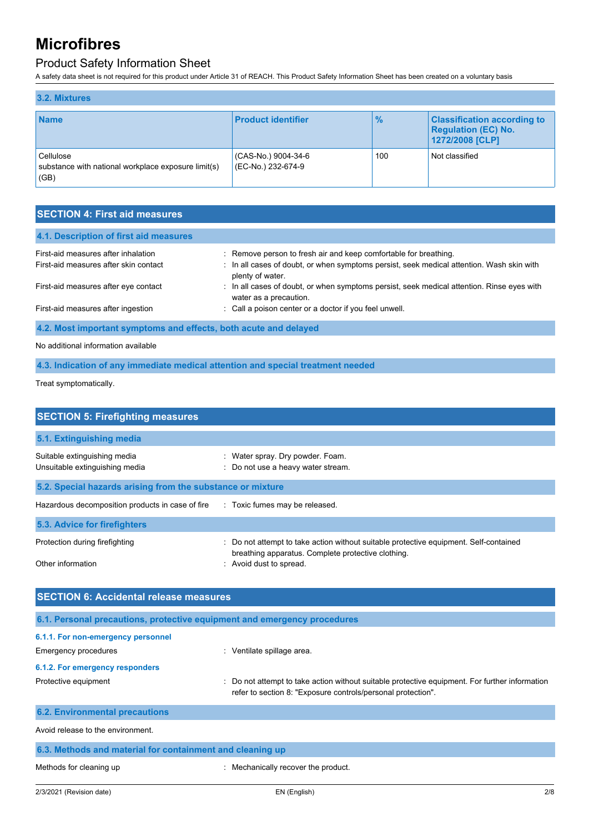# Product Safety Information Sheet

A safety data sheet is not required for this product under Article 31 of REACH. This Product Safety Information Sheet has been created on a voluntary basis

| 3.2. Mixtures                                                            |                                           |               |                                                                                     |
|--------------------------------------------------------------------------|-------------------------------------------|---------------|-------------------------------------------------------------------------------------|
| <b>Name</b>                                                              | <b>Product identifier</b>                 | $\frac{9}{6}$ | <b>Classification according to</b><br><b>Regulation (EC) No.</b><br>1272/2008 [CLP] |
| Cellulose<br>substance with national workplace exposure limit(s)<br>(GB) | (CAS-No.) 9004-34-6<br>(EC-No.) 232-674-9 | 100           | Not classified                                                                      |

## **SECTION 4: First aid measures**

| 4.1. Description of first aid measures                           |                                                                                                                      |  |
|------------------------------------------------------------------|----------------------------------------------------------------------------------------------------------------------|--|
| First-aid measures after inhalation                              | : Remove person to fresh air and keep comfortable for breathing.                                                     |  |
| First-aid measures after skin contact                            | : In all cases of doubt, or when symptoms persist, seek medical attention. Wash skin with<br>plenty of water.        |  |
| First-aid measures after eye contact                             | : In all cases of doubt, or when symptoms persist, seek medical attention. Rinse eyes with<br>water as a precaution. |  |
| First-aid measures after ingestion                               | : Call a poison center or a doctor if you feel unwell.                                                               |  |
| 4.2. Most important symptoms and effects, both acute and delayed |                                                                                                                      |  |

No additional information available

**4.3. Indication of any immediate medical attention and special treatment needed**

Treat symptomatically.

| <b>SECTION 5: Firefighting measures</b>                                                                                                                                |  |  |  |
|------------------------------------------------------------------------------------------------------------------------------------------------------------------------|--|--|--|
|                                                                                                                                                                        |  |  |  |
| : Water spray. Dry powder. Foam.<br>: Do not use a heavy water stream.                                                                                                 |  |  |  |
| 5.2. Special hazards arising from the substance or mixture                                                                                                             |  |  |  |
| Hazardous decomposition products in case of fire Toxic fumes may be released.                                                                                          |  |  |  |
|                                                                                                                                                                        |  |  |  |
| : Do not attempt to take action without suitable protective equipment. Self-contained<br>breathing apparatus. Complete protective clothing.<br>: Avoid dust to spread. |  |  |  |
|                                                                                                                                                                        |  |  |  |

| <b>SECTION 6: Accidental release measures</b>                            |                                                                                                                                                                |  |  |
|--------------------------------------------------------------------------|----------------------------------------------------------------------------------------------------------------------------------------------------------------|--|--|
| 6.1. Personal precautions, protective equipment and emergency procedures |                                                                                                                                                                |  |  |
| 6.1.1. For non-emergency personnel                                       |                                                                                                                                                                |  |  |
| Emergency procedures                                                     | : Ventilate spillage area.                                                                                                                                     |  |  |
| 6.1.2. For emergency responders                                          |                                                                                                                                                                |  |  |
| Protective equipment                                                     | : Do not attempt to take action without suitable protective equipment. For further information<br>refer to section 8: "Exposure controls/personal protection". |  |  |
| <b>6.2. Environmental precautions</b>                                    |                                                                                                                                                                |  |  |
| Avoid release to the environment.                                        |                                                                                                                                                                |  |  |
| 6.3. Methods and material for containment and cleaning up                |                                                                                                                                                                |  |  |
| Methods for cleaning up                                                  | Mechanically recover the product.                                                                                                                              |  |  |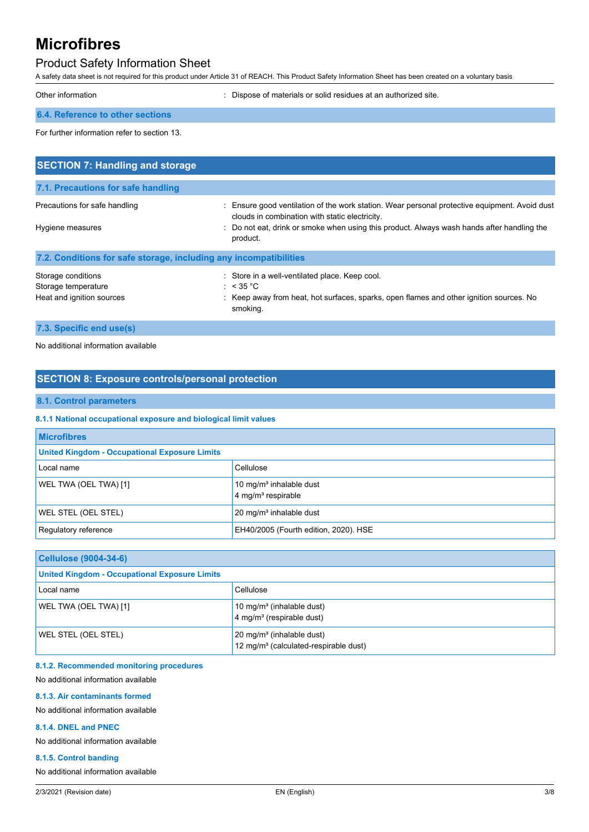# Product Safety Information Sheet

A safety data sheet is not required for this product under Article 31 of REACH. This Product Safety Information Sheet has been created on a voluntary basis

| Other information | : Dispose of materials or solid residues at an authorized site. |
|-------------------|-----------------------------------------------------------------|
|                   |                                                                 |

### **6.4. Reference to other sections**

For further information refer to section 13.

| <b>SECTION 7: Handling and storage</b>                            |                                                                                                                                                 |  |  |
|-------------------------------------------------------------------|-------------------------------------------------------------------------------------------------------------------------------------------------|--|--|
| 7.1. Precautions for safe handling                                |                                                                                                                                                 |  |  |
| Precautions for safe handling                                     | : Ensure good ventilation of the work station. Wear personal protective equipment. Avoid dust<br>clouds in combination with static electricity. |  |  |
| Hygiene measures                                                  | : Do not eat, drink or smoke when using this product. Always wash hands after handling the<br>product.                                          |  |  |
| 7.2. Conditions for safe storage, including any incompatibilities |                                                                                                                                                 |  |  |
| Storage conditions                                                | : Store in a well-ventilated place. Keep cool.                                                                                                  |  |  |
| Storage temperature                                               | : $<$ 35 °C                                                                                                                                     |  |  |
| Heat and ignition sources                                         | : Keep away from heat, hot surfaces, sparks, open flames and other ignition sources. No<br>smoking.                                             |  |  |

**7.3. Specific end use(s)**

No additional information available

# **SECTION 8: Exposure controls/personal protection**

### **8.1. Control parameters**

**8.1.1 National occupational exposure and biological limit values**

| <b>Microfibres</b>                                               |                                                                         |  |
|------------------------------------------------------------------|-------------------------------------------------------------------------|--|
| <b>United Kingdom - Occupational Exposure Limits</b>             |                                                                         |  |
| Local name                                                       | Cellulose                                                               |  |
| WEL TWA (OEL TWA) [1]                                            | 10 mg/m <sup>3</sup> inhalable dust<br>$4$ mg/m <sup>3</sup> respirable |  |
| <b>WEL STEL (OEL STEL)</b><br>$20 \text{ mg/m}^3$ inhalable dust |                                                                         |  |
| EH40/2005 (Fourth edition, 2020). HSE<br>Regulatory reference    |                                                                         |  |

| <b>Cellulose (9004-34-6)</b>                         |                                                                                            |  |
|------------------------------------------------------|--------------------------------------------------------------------------------------------|--|
| <b>United Kingdom - Occupational Exposure Limits</b> |                                                                                            |  |
| Local name                                           | Cellulose                                                                                  |  |
| WEL TWA (OEL TWA) [1]                                | 10 mg/m <sup>3</sup> (inhalable dust)<br>4 mg/m <sup>3</sup> (respirable dust)             |  |
| WEL STEL (OEL STEL)                                  | 20 mg/m <sup>3</sup> (inhalable dust)<br>12 mg/m <sup>3</sup> (calculated-respirable dust) |  |

#### **8.1.2. Recommended monitoring procedures**

No additional information available

### **8.1.3. Air contaminants formed**

No additional information available

#### **8.1.4. DNEL and PNEC**

No additional information available

#### **8.1.5. Control banding**

No additional information available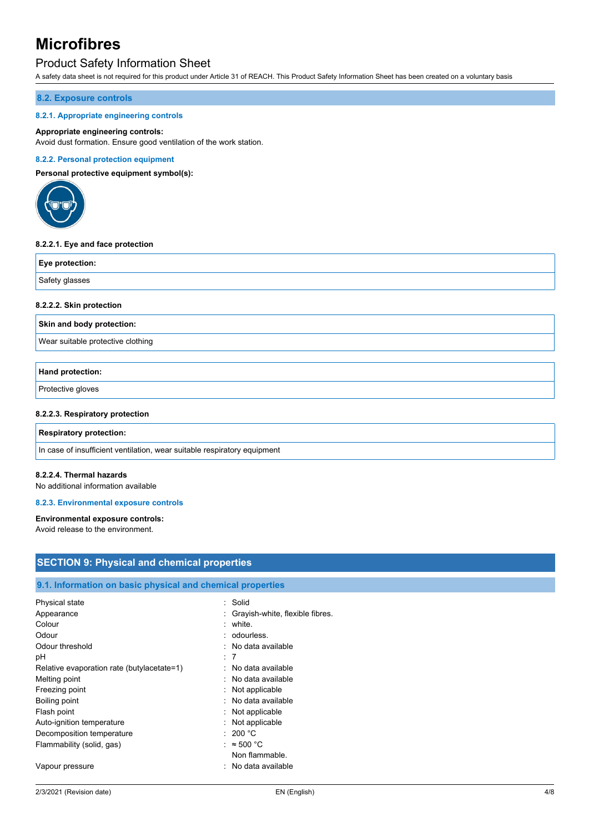## Product Safety Information Sheet

A safety data sheet is not required for this product under Article 31 of REACH. This Product Safety Information Sheet has been created on a voluntary basis

#### **8.2. Exposure controls**

#### **8.2.1. Appropriate engineering controls**

#### **Appropriate engineering controls:**

Avoid dust formation. Ensure good ventilation of the work station.

#### **8.2.2. Personal protection equipment**

**Personal protective equipment symbol(s):**



#### **8.2.2.1. Eye and face protection**

| Eye protection: |  |
|-----------------|--|
| Safety glasses  |  |

#### **8.2.2.2. Skin protection**

**Skin and body protection:**

Wear suitable protective clothing

#### **Hand protection:**

Protective gloves

#### **8.2.2.3. Respiratory protection**

#### **Respiratory protection:**

In case of insufficient ventilation, wear suitable respiratory equipment

Flammability (solid, gas) : ≈ 500 °C

Vapour pressure in the set of the set of the set of the Vapour pressure in the value of the value of the Vapou

#### **8.2.2.4. Thermal hazards**

No additional information available

#### **8.2.3. Environmental exposure controls**

#### **Environmental exposure controls:**

Avoid release to the environment.

# **SECTION 9: Physical and chemical properties 9.1. Information on basic physical and chemical properties** Physical state : Solid Appearance **in Appearance** : Grayish-white, flexible fibres. Colour : white. Odour : contract to the contract of the contract of the contract of the contract of the contract of the contract of the contract of the contract of the contract of the contract of the contract of the contract of the contra Odour threshold **in the contract of the Contract of Contract Contract of Contract Contract Contract Contract Contract Contract Contract Contract Contract Contract Contract Contract Contract Contract Contract Contract Contr** pH : 7 Relative evaporation rate (butylacetate=1) : No data available Melting point **in the case of the case of the case of the case of the case of the case of the case of the case of the case of the case of the case of the case of the case of the case of the case of the case of the case of** Freezing point **in the case of the case of the case of the case of the case of the case of the case of the case of the case of the case of the case of the case of the case of the case of the case of the case of the case of** Boiling point **in the case of the contract of the contract of the contract of the contract of the contract of the contract of the contract of the contract of the contract of the contract of the contract of the contract of** Flash point **in the case of the case of the case of the case of the case of the case of the case of the case of the case of the case of the case of the case of the case of the case of the case of the case of the case of th** Auto-ignition temperature **interest and the COV** applicable Decomposition temperature : 200 °C

Non flammable.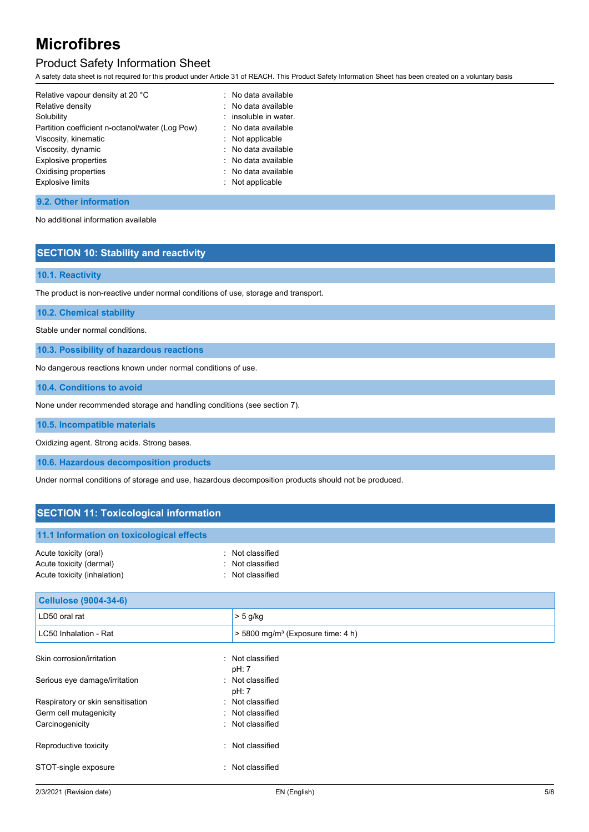# Product Safety Information Sheet

A safety data sheet is not required for this product under Article 31 of REACH. This Product Safety Information Sheet has been created on a voluntary basis

| Relative vapour density at 20 °C                | : No data available     |
|-------------------------------------------------|-------------------------|
| Relative density                                | : No data available     |
| Solubility                                      | $:$ insoluble in water. |
| Partition coefficient n-octanol/water (Log Pow) | : No data available     |
| Viscosity, kinematic                            | : Not applicable        |
| Viscosity, dynamic                              | : No data available     |
| <b>Explosive properties</b>                     | : No data available     |
| Oxidising properties                            | : No data available     |
| Explosive limits                                | : Not applicable        |
|                                                 |                         |

#### **9.2. Other information**

No additional information available

### **SECTION 10: Stability and reactivity**

### **10.1. Reactivity**

The product is non-reactive under normal conditions of use, storage and transport.

**10.2. Chemical stability**

Stable under normal conditions.

**10.3. Possibility of hazardous reactions**

No dangerous reactions known under normal conditions of use.

**10.4. Conditions to avoid**

None under recommended storage and handling conditions (see section 7).

**10.5. Incompatible materials**

Oxidizing agent. Strong acids. Strong bases.

**10.6. Hazardous decomposition products**

Under normal conditions of storage and use, hazardous decomposition products should not be produced.

## **SECTION 11: Toxicological information**

| 11.1 Information on toxicological effects |                  |
|-------------------------------------------|------------------|
| Acute toxicity (oral)                     | : Not classified |
| Acute toxicity (dermal)                   | : Not classified |
| Acute toxicity (inhalation)               | . Not classified |

| <b>Cellulose (9004-34-6)</b>      |                                                 |
|-----------------------------------|-------------------------------------------------|
| LD50 oral rat                     | $> 5$ g/kg                                      |
| LC50 Inhalation - Rat             | $>$ 5800 mg/m <sup>3</sup> (Exposure time: 4 h) |
| Skin corrosion/irritation         | : Not classified<br>pH: 7                       |
| Serious eye damage/irritation     | : Not classified<br>pH: 7                       |
| Respiratory or skin sensitisation | : Not classified                                |
| Germ cell mutagenicity            | : Not classified                                |
| Carcinogenicity                   | : Not classified                                |
| Reproductive toxicity             | : Not classified                                |
| STOT-single exposure<br>۰.        | Not classified                                  |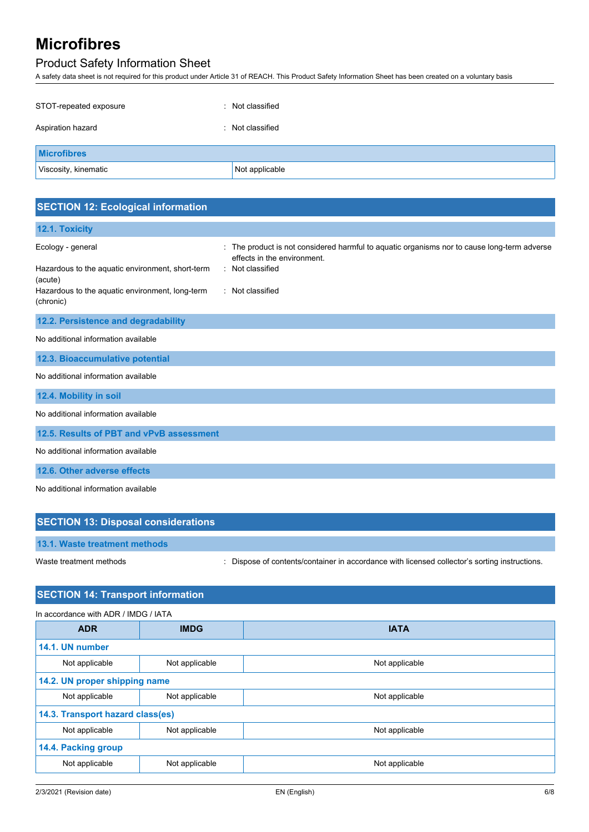# Product Safety Information Sheet

A safety data sheet is not required for this product under Article 31 of REACH. This Product Safety Information Sheet has been created on a voluntary basis

| STOT-repeated exposure | : Not classified |
|------------------------|------------------|
| Aspiration hazard      | : Not classified |
| <b>Microfibres</b>     |                  |
| Viscosity, kinematic   | Not applicable   |

# **SECTION 12: Ecological information**

| 12.1. Toxicity                                               |                                                                                                                            |
|--------------------------------------------------------------|----------------------------------------------------------------------------------------------------------------------------|
| Ecology - general                                            | : The product is not considered harmful to aquatic organisms nor to cause long-term adverse<br>effects in the environment. |
| Hazardous to the aquatic environment, short-term<br>(acute)  | : Not classified                                                                                                           |
| Hazardous to the aquatic environment, long-term<br>(chronic) | : Not classified                                                                                                           |
| 12.2. Persistence and degradability                          |                                                                                                                            |
| No additional information available                          |                                                                                                                            |
| 12.3. Bioaccumulative potential                              |                                                                                                                            |
| No additional information available                          |                                                                                                                            |
| 12.4. Mobility in soil                                       |                                                                                                                            |
| No additional information available                          |                                                                                                                            |
| 12.5. Results of PBT and vPvB assessment                     |                                                                                                                            |
| No additional information available                          |                                                                                                                            |
| 12.6. Other adverse effects                                  |                                                                                                                            |
| No additional information available                          |                                                                                                                            |

| <b>SECTION 13: Disposal considerations</b> |                                                                                               |
|--------------------------------------------|-----------------------------------------------------------------------------------------------|
| 13.1. Waste treatment methods              |                                                                                               |
| Waste treatment methods                    | : Dispose of contents/container in accordance with licensed collector's sorting instructions. |

## **SECTION 14: Transport information**

| In accordance with ADR / IMDG / IATA |                |                |
|--------------------------------------|----------------|----------------|
| <b>ADR</b>                           | <b>IMDG</b>    | <b>IATA</b>    |
| 14.1. UN number                      |                |                |
| Not applicable                       | Not applicable | Not applicable |
| 14.2. UN proper shipping name        |                |                |
| Not applicable                       | Not applicable | Not applicable |
| 14.3. Transport hazard class(es)     |                |                |
| Not applicable                       | Not applicable | Not applicable |
| 14.4. Packing group                  |                |                |
| Not applicable                       | Not applicable | Not applicable |
|                                      |                |                |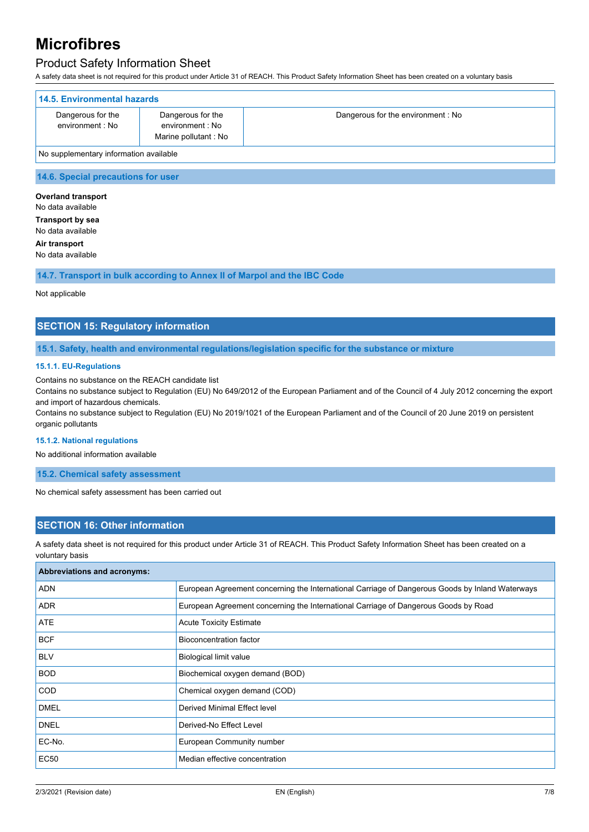## Product Safety Information Sheet

A safety data sheet is not required for this product under Article 31 of REACH. This Product Safety Information Sheet has been created on a voluntary basis

| 14.5. Environmental hazards            |                                                               |                                   |
|----------------------------------------|---------------------------------------------------------------|-----------------------------------|
| Dangerous for the<br>environment : No  | Dangerous for the<br>environment : No<br>Marine pollutant: No | Dangerous for the environment: No |
| No supplementary information available |                                                               |                                   |

**14.6. Special precautions for user**

**Overland transport** No data available **Transport by sea** No data available **Air transport** No data available

**14.7. Transport in bulk according to Annex II of Marpol and the IBC Code**

Not applicable

### **SECTION 15: Regulatory information**

#### **15.1. Safety, health and environmental regulations/legislation specific for the substance or mixture**

#### **15.1.1. EU-Regulations**

Contains no substance on the REACH candidate list

Contains no substance subject to Regulation (EU) No 649/2012 of the European Parliament and of the Council of 4 July 2012 concerning the export and import of hazardous chemicals.

Contains no substance subject to Regulation (EU) No 2019/1021 of the European Parliament and of the Council of 20 June 2019 on persistent organic pollutants

#### **15.1.2. National regulations**

No additional information available

#### **15.2. Chemical safety assessment**

No chemical safety assessment has been carried out

### **SECTION 16: Other information**

A safety data sheet is not required for this product under Article 31 of REACH. This Product Safety Information Sheet has been created on a voluntary basis

| Abbreviations and acronyms: |                                                                                                 |  |
|-----------------------------|-------------------------------------------------------------------------------------------------|--|
| ADN                         | European Agreement concerning the International Carriage of Dangerous Goods by Inland Waterways |  |
| <b>ADR</b>                  | European Agreement concerning the International Carriage of Dangerous Goods by Road             |  |
| <b>ATE</b>                  | <b>Acute Toxicity Estimate</b>                                                                  |  |
| <b>BCF</b>                  | Bioconcentration factor                                                                         |  |
| <b>BLV</b>                  | Biological limit value                                                                          |  |
| <b>BOD</b>                  | Biochemical oxygen demand (BOD)                                                                 |  |
| <b>COD</b>                  | Chemical oxygen demand (COD)                                                                    |  |
| <b>DMEL</b>                 | Derived Minimal Effect level                                                                    |  |
| <b>DNEL</b>                 | Derived-No Effect Level                                                                         |  |
| EC-No.                      | European Community number                                                                       |  |
| EC50                        | Median effective concentration                                                                  |  |